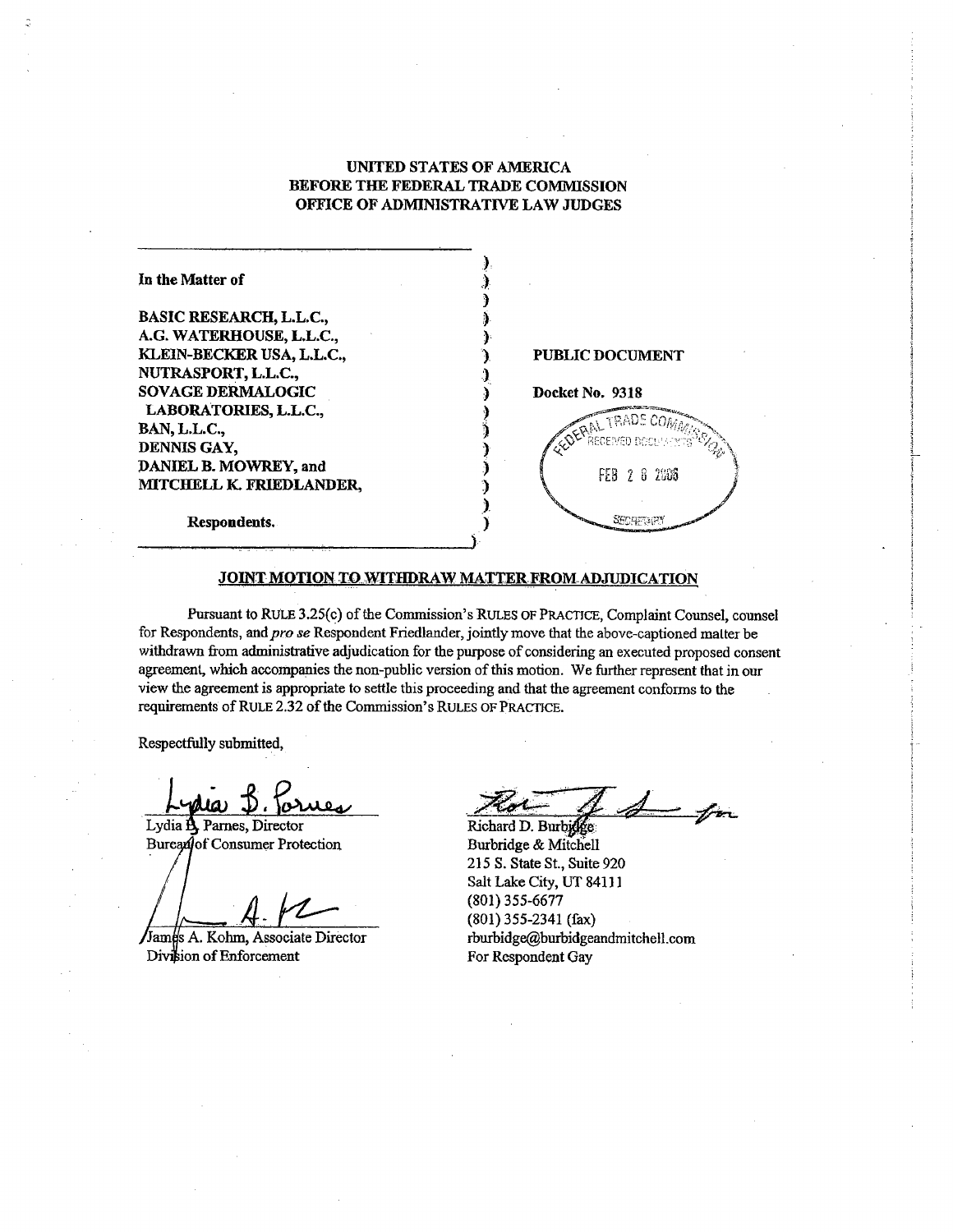## UNITED STATES OF AMERICA BEFORE THE FEDERAL TRADE COMMISSION OFFICE OF ADMINISTRATIVE LAW JUDGES

| In the Matter of               |                        |
|--------------------------------|------------------------|
| <b>BASIC RESEARCH, L.L.C.,</b> |                        |
| A.G. WATERHOUSE, L.L.C.,       |                        |
| KLEIN-BECKER USA, L.L.C.,      | <b>PUBLIC DOCUMENT</b> |
| NUTRASPORT, L.L.C.,            |                        |
| <b>SOVAGE DERMALOGIC</b>       | Docket No. 9318        |
| LABORATORIES, L.L.C.,          |                        |
| BAN, L.L.C.,                   | OFFICIL TRADE CO.      |
| DENNIS GAY,                    | RECEIVED DOCH!         |
| DANIEL B. MOWREY, and          |                        |
| MITCHELL K. FRIEDLANDER,       | FEB 2 8 2006           |
| Respondents.                   |                        |
|                                |                        |

#### JOINT MOTION TO WITHDRAW MATTER FROM ADJUDICATION

Pursuant to RULE 3.25(c) of the Commission's RULES OF PRACTICE, Complaint Counsel, counsel for Respondents, and pro se Respondent Friedlander, jointly move that the above-captioned matter be withdrawn from administrative adjudication for the purpose of considering an executed proposed consent agreement, which accompanies the non-public version of this motion. We further represent that in our view the agreement is appropriate to settle this proceeding and that the agreement confonns to the requirements of RULE 2.32 of the Commission's RULES OF PRACTICE.

Respectfully submitted

يتقصه

Lydia A Parnes, Director Bureadof Consumer Protection

James A. Kohm, Associate Director Division of Enforcement

 $\mathcal{A}$ 

Richard D. Burbidge Burbridge & Mitchell 215 S. State St., Suite 920 Salt Lake City, UT 8411 (801) 355-6677 (801) 355-2341 (fax) rburbidge(burbidgeandmitchell.com For Respondent Gay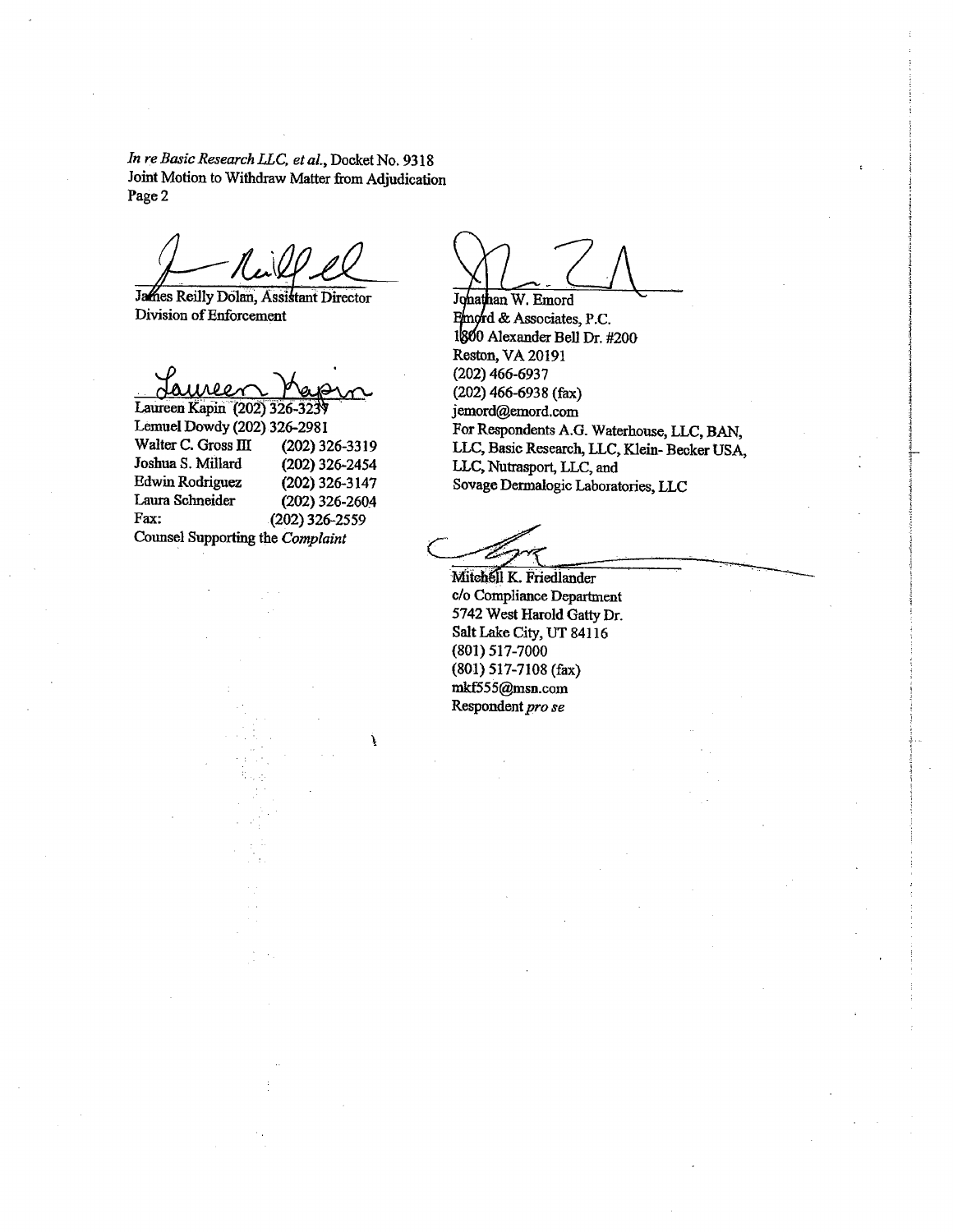In re Basic Research LLC, et al., Docket No. 9318 Joint Motion to Withdraw Matter from Adjudication Page 2

James Reilly Dolan, Assistant Director Division of Enforcement

Laureen Kapin (202) 326 327 Lemuel Dowdy (202) 326-2981 Walter C. Gross III (202) 326-3319 Joshua S. Millard (202) 326-2454 **Edwin Rodriguez** (202) 326-3147 Laura Schneider  $(202)$  326-2604 Fax:  $(202)$  326-2559 Counsel Supporting the Complaint

Å

Johathan W. Emord Emord & Associates, P.C. 1800 Alexander Bell Dr. #200 Reston, VA 20191  $(202)$  466-6937  $(202)$  466-6938 (fax) jemord@emord.com For Respondents A.G. Waterhouse, LLC, BAN, LLC, Basic Research, LLC, Klein-Becker USA, LLC, Nutrasport, LLC, and Sovage Dermalogic Laboratories, LLC

Mitchell K. Friedlander c/o Compliance Department 5742 West Harold Gatty Dr. Salt Lake City, UT 84116 (801) 517-7000 (801) 517-7108 (fax) mkf555@msn.com Respondent pro se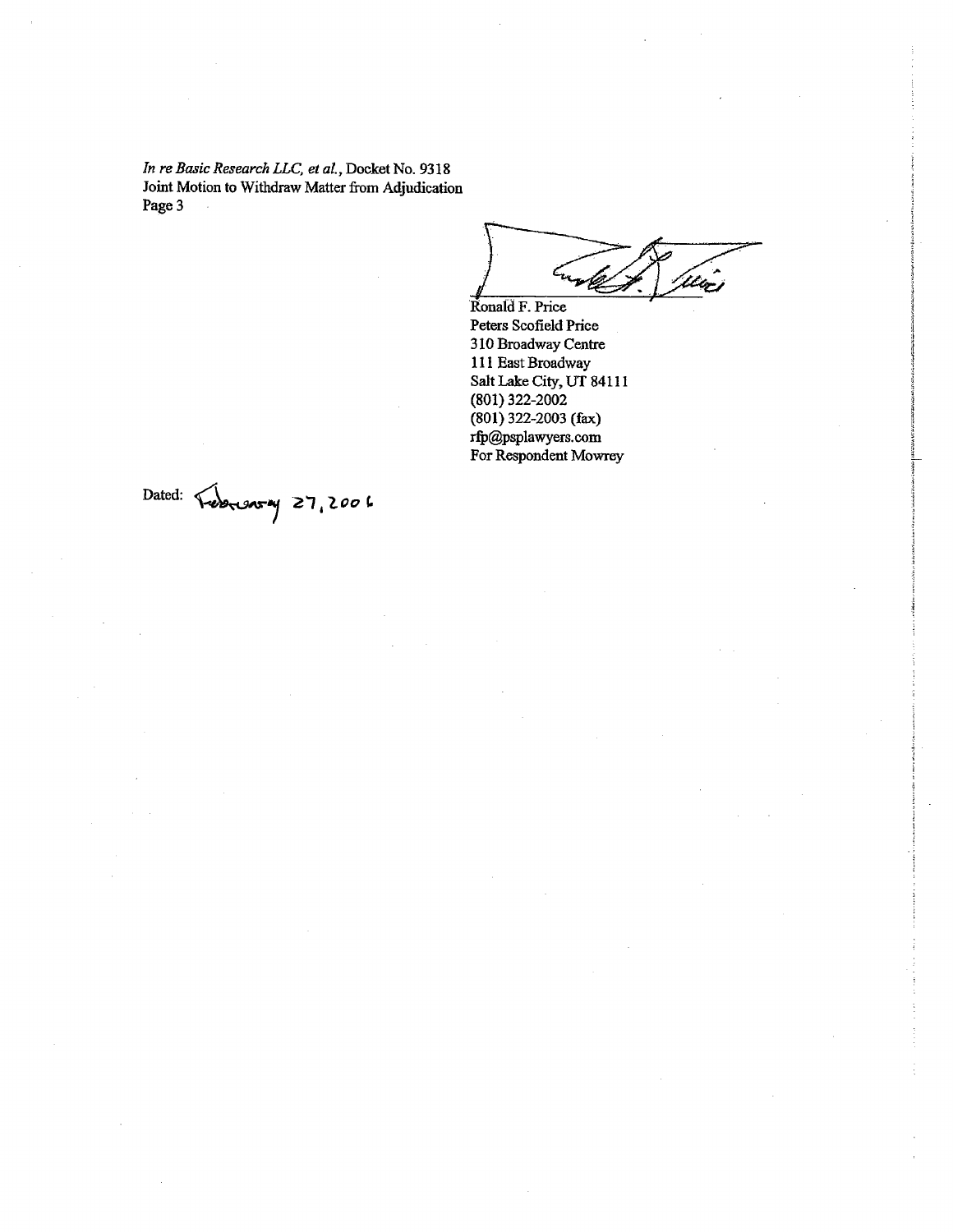In re Basic Research LLC, et al. Docket No. 9318 Joint Motion to Withdraw Matter from Adjudication Page 3  $\bar{z}$ 

Utic Ronald F. Price

Peters Scofield Price 310 Broadway Centre 111 East Broadway Salt Lake City, UT 84111 (801) 322-2002 (801) 322-2003 (fax) rfp@psplawyers.com For Respondent Mowrey

Dated: Tebreson 27, 2006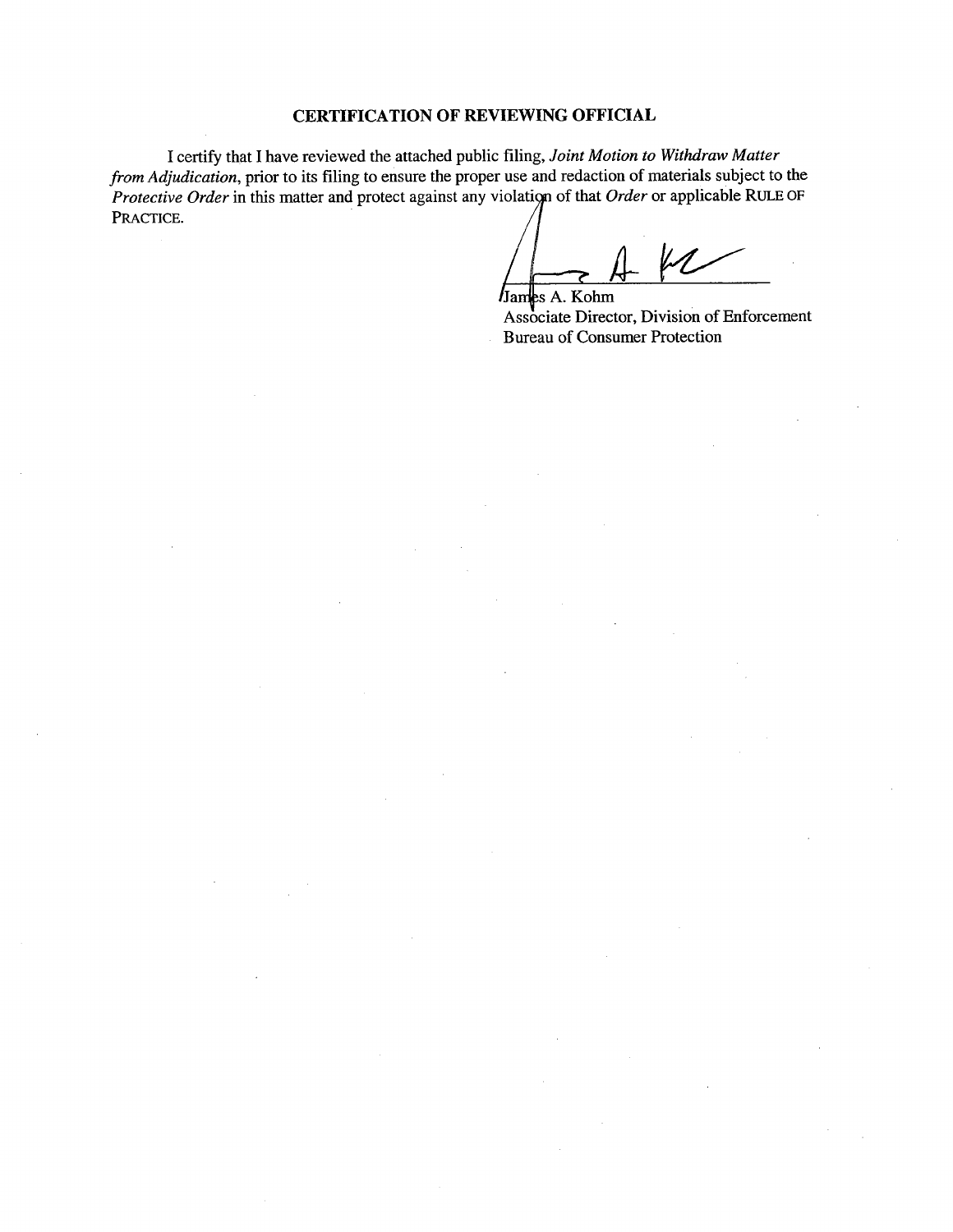# CERTIFICA TION OF REVIEWING OFFICIAL

I certify that I have reviewed the attached public fiing, Joint Motion to Withdraw Matter from Adjudication, prior to its fiing to ensure the proper use and redaction of materials subject to the Protective Order in this matter and protect against any violation of that Order or applicable RULE OF PRACTICE.

James A. Kohm

Associate Director, Division of Enforcement Bureau of Consumer Protection